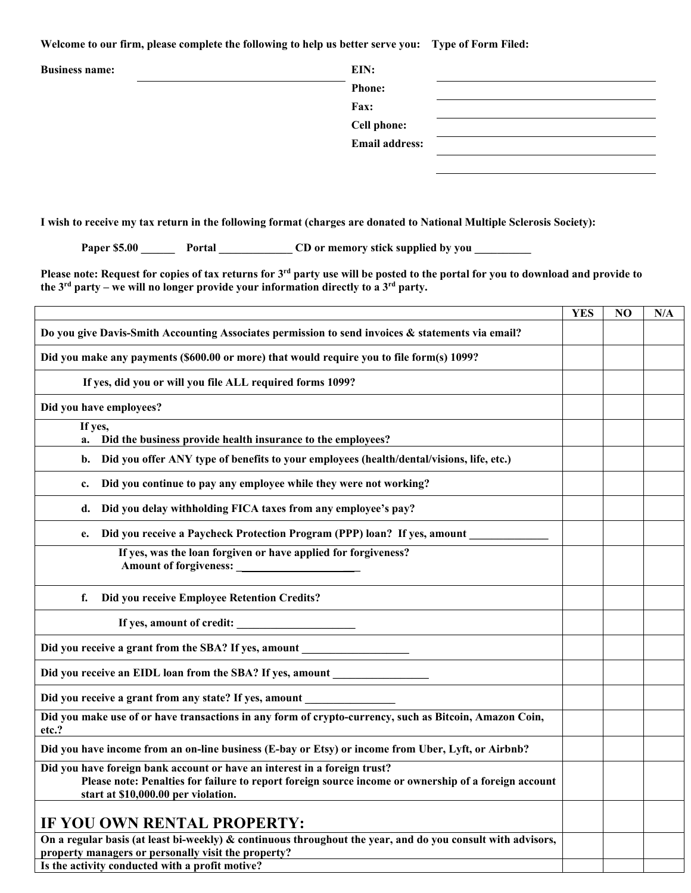**Welcome to our firm, please complete the following to help us better serve you: Type of Form Filed:** 

| <b>Business name:</b> | EIN:                  |  |
|-----------------------|-----------------------|--|
|                       | <b>Phone:</b>         |  |
|                       | Fax:                  |  |
|                       | <b>Cell phone:</b>    |  |
|                       | <b>Email address:</b> |  |
|                       |                       |  |

**I wish to receive my tax return in the following format (charges are donated to National Multiple Sclerosis Society):** 

**Paper \$5.00 Portal CD or memory stick supplied by you** 

**Please note: Request for copies of tax returns for 3rd party use will be posted to the portal for you to download and provide to the 3rd party – we will no longer provide your information directly to a 3rd party.** 

|                                                                                                                                                                                                                          | YES | NO | N/A |
|--------------------------------------------------------------------------------------------------------------------------------------------------------------------------------------------------------------------------|-----|----|-----|
| Do you give Davis-Smith Accounting Associates permission to send invoices & statements via email?                                                                                                                        |     |    |     |
| Did you make any payments (\$600.00 or more) that would require you to file form(s) 1099?                                                                                                                                |     |    |     |
| If yes, did you or will you file ALL required forms 1099?                                                                                                                                                                |     |    |     |
| Did you have employees?                                                                                                                                                                                                  |     |    |     |
| If yes,<br>Did the business provide health insurance to the employees?<br>a.                                                                                                                                             |     |    |     |
| Did you offer ANY type of benefits to your employees (health/dental/visions, life, etc.)<br>b.                                                                                                                           |     |    |     |
| Did you continue to pay any employee while they were not working?<br>c.                                                                                                                                                  |     |    |     |
| Did you delay withholding FICA taxes from any employee's pay?<br>d.                                                                                                                                                      |     |    |     |
| Did you receive a Paycheck Protection Program (PPP) loan? If yes, amount<br>e.                                                                                                                                           |     |    |     |
| If yes, was the loan forgiven or have applied for forgiveness?<br>Amount of forgiveness:                                                                                                                                 |     |    |     |
| f.<br>Did you receive Employee Retention Credits?                                                                                                                                                                        |     |    |     |
| If yes, amount of credit:                                                                                                                                                                                                |     |    |     |
| Did you receive a grant from the SBA? If yes, amount ___________________________                                                                                                                                         |     |    |     |
| Did you receive an EIDL loan from the SBA? If yes, amount ______________________                                                                                                                                         |     |    |     |
| Did you receive a grant from any state? If yes, amount                                                                                                                                                                   |     |    |     |
| Did you make use of or have transactions in any form of crypto-currency, such as Bitcoin, Amazon Coin,<br>etc.?                                                                                                          |     |    |     |
| Did you have income from an on-line business (E-bay or Etsy) or income from Uber, Lyft, or Airbnb?                                                                                                                       |     |    |     |
| Did you have foreign bank account or have an interest in a foreign trust?<br>Please note: Penalties for failure to report foreign source income or ownership of a foreign account<br>start at \$10,000.00 per violation. |     |    |     |
| <b>IF YOU OWN RENTAL PROPERTY:</b>                                                                                                                                                                                       |     |    |     |
| On a regular basis (at least bi-weekly) & continuous throughout the year, and do you consult with advisors,<br>property managers or personally visit the property?<br>Is the activity conducted with a profit motive?    |     |    |     |